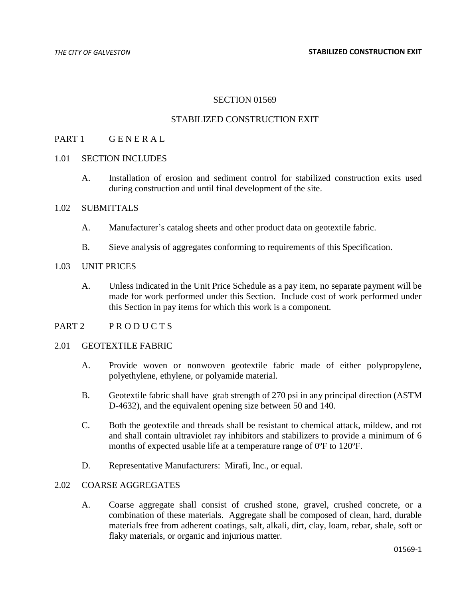## SECTION 01569

### STABILIZED CONSTRUCTION EXIT

## PART 1 GENERAL

#### 1.01 SECTION INCLUDES

A. Installation of erosion and sediment control for stabilized construction exits used during construction and until final development of the site.

## 1.02 SUBMITTALS

- A. Manufacturer's catalog sheets and other product data on geotextile fabric.
- B. Sieve analysis of aggregates conforming to requirements of this Specification.

## 1.03 UNIT PRICES

A. Unless indicated in the Unit Price Schedule as a pay item, no separate payment will be made for work performed under this Section. Include cost of work performed under this Section in pay items for which this work is a component.

## PART 2 PRODUCTS

### 2.01 GEOTEXTILE FABRIC

- A. Provide woven or nonwoven geotextile fabric made of either polypropylene, polyethylene, ethylene, or polyamide material.
- B. Geotextile fabric shall have grab strength of 270 psi in any principal direction (ASTM D-4632), and the equivalent opening size between 50 and 140.
- C. Both the geotextile and threads shall be resistant to chemical attack, mildew, and rot and shall contain ultraviolet ray inhibitors and stabilizers to provide a minimum of 6 months of expected usable life at a temperature range of 0ºF to 120ºF.
- D. Representative Manufacturers: Mirafi, Inc., or equal.

#### 2.02 COARSE AGGREGATES

A. Coarse aggregate shall consist of crushed stone, gravel, crushed concrete, or a combination of these materials. Aggregate shall be composed of clean, hard, durable materials free from adherent coatings, salt, alkali, dirt, clay, loam, rebar, shale, soft or flaky materials, or organic and injurious matter.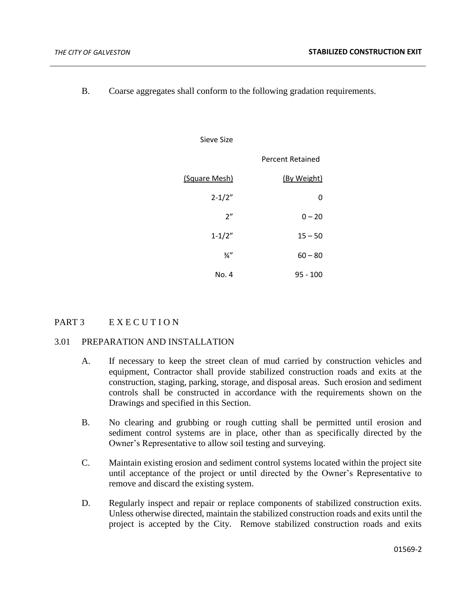B. Coarse aggregates shall conform to the following gradation requirements.

|                  | Sieve Size      |
|------------------|-----------------|
| Percent Retained |                 |
| (By Weight)      | (Square Mesh)   |
| 0                | $2 - 1/2"$      |
| $0 - 20$         | 2"              |
| $15 - 50$        | $1 - 1/2"$      |
| $60 - 80$        | $\frac{3}{4}$ " |
| $95 - 100$       | No. 4           |

# PART 3 E X E C U T I O N

# 3.01 PREPARATION AND INSTALLATION

- A. If necessary to keep the street clean of mud carried by construction vehicles and equipment, Contractor shall provide stabilized construction roads and exits at the construction, staging, parking, storage, and disposal areas. Such erosion and sediment controls shall be constructed in accordance with the requirements shown on the Drawings and specified in this Section.
- B. No clearing and grubbing or rough cutting shall be permitted until erosion and sediment control systems are in place, other than as specifically directed by the Owner's Representative to allow soil testing and surveying.
- C. Maintain existing erosion and sediment control systems located within the project site until acceptance of the project or until directed by the Owner's Representative to remove and discard the existing system.
- D. Regularly inspect and repair or replace components of stabilized construction exits. Unless otherwise directed, maintain the stabilized construction roads and exits until the project is accepted by the City. Remove stabilized construction roads and exits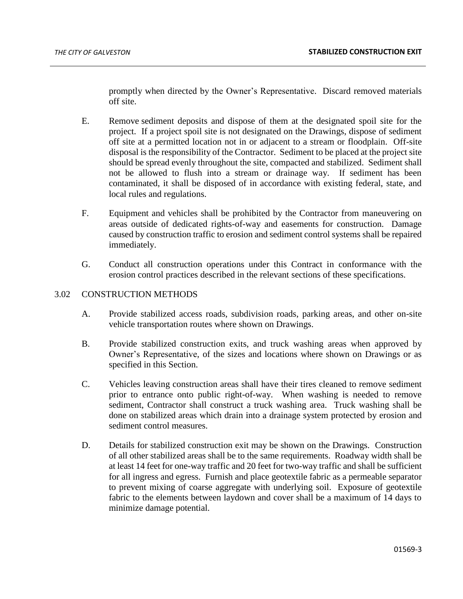promptly when directed by the Owner's Representative. Discard removed materials off site.

- E. Remove sediment deposits and dispose of them at the designated spoil site for the project. If a project spoil site is not designated on the Drawings, dispose of sediment off site at a permitted location not in or adjacent to a stream or floodplain. Off-site disposal is the responsibility of the Contractor. Sediment to be placed at the project site should be spread evenly throughout the site, compacted and stabilized. Sediment shall not be allowed to flush into a stream or drainage way. If sediment has been contaminated, it shall be disposed of in accordance with existing federal, state, and local rules and regulations.
- F. Equipment and vehicles shall be prohibited by the Contractor from maneuvering on areas outside of dedicated rights-of-way and easements for construction. Damage caused by construction traffic to erosion and sediment control systems shall be repaired immediately.
- G. Conduct all construction operations under this Contract in conformance with the erosion control practices described in the relevant sections of these specifications.

## 3.02 CONSTRUCTION METHODS

- A. Provide stabilized access roads, subdivision roads, parking areas, and other on-site vehicle transportation routes where shown on Drawings.
- B. Provide stabilized construction exits, and truck washing areas when approved by Owner's Representative, of the sizes and locations where shown on Drawings or as specified in this Section.
- C. Vehicles leaving construction areas shall have their tires cleaned to remove sediment prior to entrance onto public right-of-way. When washing is needed to remove sediment, Contractor shall construct a truck washing area. Truck washing shall be done on stabilized areas which drain into a drainage system protected by erosion and sediment control measures.
- D. Details for stabilized construction exit may be shown on the Drawings. Construction of all other stabilized areas shall be to the same requirements. Roadway width shall be at least 14 feet for one-way traffic and 20 feet for two-way traffic and shall be sufficient for all ingress and egress. Furnish and place geotextile fabric as a permeable separator to prevent mixing of coarse aggregate with underlying soil. Exposure of geotextile fabric to the elements between laydown and cover shall be a maximum of 14 days to minimize damage potential.